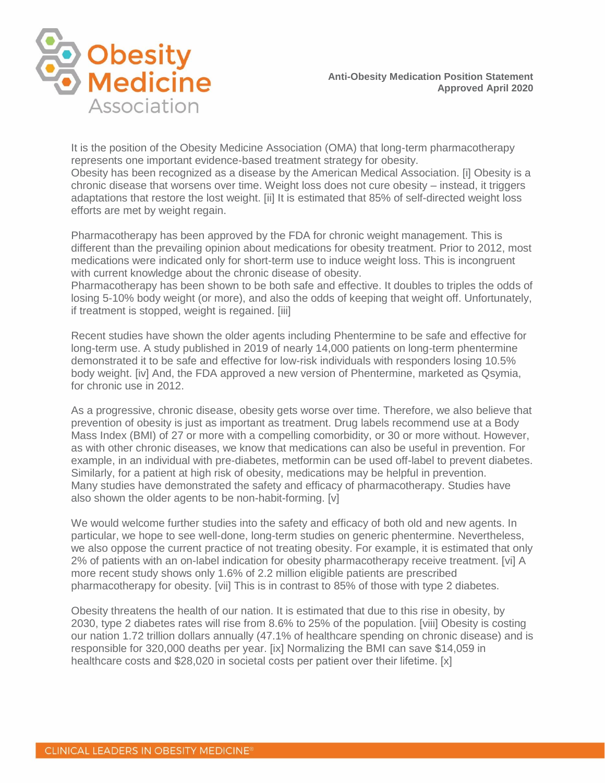

It is the position of the Obesity Medicine Association (OMA) that long-term pharmacotherapy represents one important evidence-based treatment strategy for obesity. Obesity has been recognized as a disease by the American Medical Association. [i] Obesity is a chronic disease that worsens over time. Weight loss does not cure obesity – instead, it triggers adaptations that restore the lost weight. [ii] It is estimated that 85% of self-directed weight loss efforts are met by weight regain.

Pharmacotherapy has been approved by the FDA for chronic weight management. This is different than the prevailing opinion about medications for obesity treatment. Prior to 2012, most medications were indicated only for short-term use to induce weight loss. This is incongruent with current knowledge about the chronic disease of obesity.

Pharmacotherapy has been shown to be both safe and effective. It doubles to triples the odds of losing 5-10% body weight (or more), and also the odds of keeping that weight off. Unfortunately, if treatment is stopped, weight is regained. [iii]

Recent studies have shown the older agents including Phentermine to be safe and effective for long-term use. A study published in 2019 of nearly 14,000 patients on long-term phentermine demonstrated it to be safe and effective for low-risk individuals with responders losing 10.5% body weight. [iv] And, the FDA approved a new version of Phentermine, marketed as Qsymia, for chronic use in 2012.

As a progressive, chronic disease, obesity gets worse over time. Therefore, we also believe that prevention of obesity is just as important as treatment. Drug labels recommend use at a Body Mass Index (BMI) of 27 or more with a compelling comorbidity, or 30 or more without. However, as with other chronic diseases, we know that medications can also be useful in prevention. For example, in an individual with pre-diabetes, metformin can be used off-label to prevent diabetes. Similarly, for a patient at high risk of obesity, medications may be helpful in prevention. Many studies have demonstrated the safety and efficacy of pharmacotherapy. Studies have also shown the older agents to be non-habit-forming. [v]

We would welcome further studies into the safety and efficacy of both old and new agents. In particular, we hope to see well-done, long-term studies on generic phentermine. Nevertheless, we also oppose the current practice of not treating obesity. For example, it is estimated that only 2% of patients with an on-label indication for obesity pharmacotherapy receive treatment. [vi] A more recent study shows only 1.6% of 2.2 million eligible patients are prescribed pharmacotherapy for obesity. [vii] This is in contrast to 85% of those with type 2 diabetes.

Obesity threatens the health of our nation. It is estimated that due to this rise in obesity, by 2030, type 2 diabetes rates will rise from 8.6% to 25% of the population. [viii] Obesity is costing our nation 1.72 trillion dollars annually (47.1% of healthcare spending on chronic disease) and is responsible for 320,000 deaths per year. [ix] Normalizing the BMI can save \$14,059 in healthcare costs and \$28,020 in societal costs per patient over their lifetime. [x]